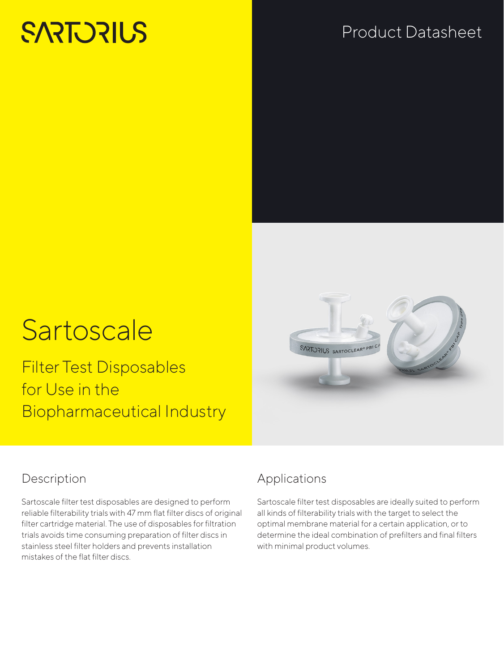# **SARTORIUS**

# Product Datasheet

# **Sartoscale**

Filter Test Disposables for Use in the Biopharmaceutical Industry



# Description

Sartoscale filter test disposables are designed to perform reliable filterability trials with 47 mm flat filter discs of original filter cartridge material. The use of disposables for filtration trials avoids time consuming preparation of filter discs in stainless steel filter holders and prevents installation mistakes of the flat filter discs.

# Applications

Sartoscale filter test disposables are ideally suited to perform all kinds of filterability trials with the target to select the optimal membrane material for a certain application, or to determine the ideal combination of prefilters and final filters with minimal product volumes.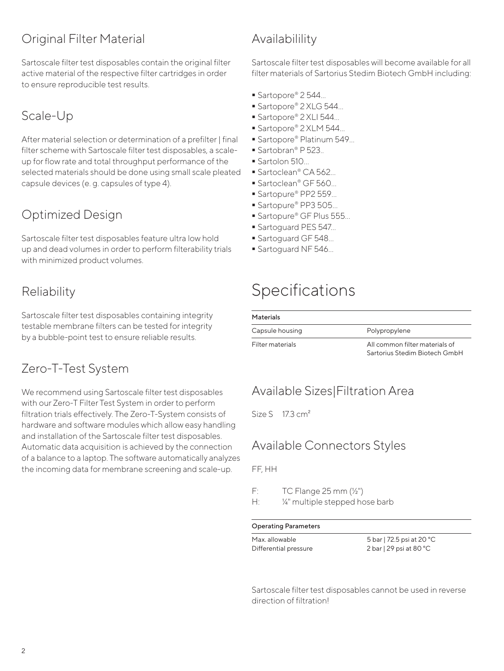# Original Filter Material

Sartoscale filter test disposables contain the original filter active material of the respective filter cartridges in order to ensure reproducible test results.

# Scale-Up

After material selection or determination of a prefilter | final filter scheme with Sartoscale filter test disposables, a scaleup for flow rate and total throughput performance of the selected materials should be done using small scale pleated capsule devices (e. g. capsules of type 4).

# Optimized Design

Sartoscale filter test disposables feature ultra low hold up and dead volumes in order to perform filterability trials with minimized product volumes.

# Reliability

Sartoscale filter test disposables containing integrity testable membrane filters can be tested for integrity by a bubble-point test to ensure reliable results.

# Zero-T-Test System

We recommend using Sartoscale filter test disposables with our Zero-T Filter Test System in order to perform filtration trials effectively. The Zero-T-System consists of hardware and software modules which allow easy handling and installation of the Sartoscale filter test disposables. Automatic data acquisition is achieved by the connection of a balance to a laptop. The software automatically analyzes the incoming data for membrane screening and scale-up.

# Availabilility

Sartoscale filter test disposables will become available for all filter materials of Sartorius Stedim Biotech GmbH including:

- Sartopore® 2 544...
- Sartopore® 2 XLG 544...
- Sartopore® 2 XLI 544...
- Sartopore® 2 XLM 544...
- Sartopore® Platinum 549...
- Sartobran® P 523.
- Sartolon 510
- Sartoclean® CA 562...
- Sartoclean® GF 560...
- Sartopure® PP2 559...
- Sartopure® PP3 505...
- Sartopure® GF Plus 555...
- **Sartoguard PES 547...**
- Sartoguard GF 548...
- Sartoguard NF 546...

# Specifications

#### **Materials**

| Capsule housing  | Polypropylene                                                   |
|------------------|-----------------------------------------------------------------|
| Filter materials | All common filter materials of<br>Sartorius Stedim Biotech GmbH |

## Available Sizes|Filtration Area

Size S 17.3 cm<sup>2</sup>

### Available Connectors Styles

FF, HH

- F:  $TC$  Flange  $25$  mm  $(\frac{1}{2})$
- H: ¼" multiple stepped hose barb

#### Operating Parameters

Max. allowable Differential pressure

5 bar | 72.5 psi at 20 °C 2 bar | 29 psi at 80 °C

Sartoscale filter test disposables cannot be used in reverse direction of filtration!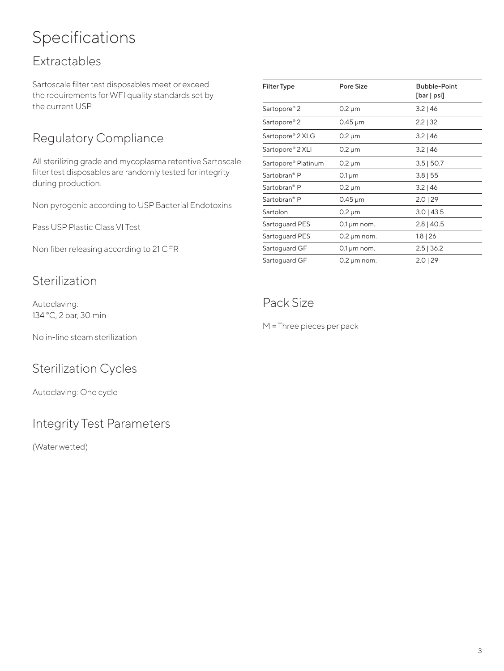# Specifications

# Extractables

Sartoscale filter test disposables meet or exceed the requirements for WFI quality standards set by the current USP.

# Regulatory Compliance

All sterilizing grade and mycoplasma retentive Sartoscale filter test disposables are randomly tested for integrity during production.

Non pyrogenic according to USP Bacterial Endotoxins

Pass USP Plastic Class VI Test

Non fiber releasing according to 21 CFR

### Sterilization

Autoclaving: 134 °C, 2 bar, 30 min

No in-line steam sterilization

# Sterilization Cycles

Autoclaving: One cycle

## Integrity Test Parameters

(Water wetted)

| Pore Size                 | <b>Bubble-Point</b><br>[bar   psi] |
|---------------------------|------------------------------------|
| $0.2 \mu m$               | $3.2$   46                         |
| $0.45 \,\mathrm{\upmu m}$ | $2.2$   32                         |
| $0.2 \mu m$               | $3.2$   46                         |
| $0.2 \mu m$               | $3.2 \mid 46$                      |
| $0.2 \mu m$               | $3.5$   50.7                       |
| $0.1 \mu m$               | $3.8$   55                         |
| 0.2 µm                    | $3.2$   46                         |
| $0.45 \,\mathrm{\upmu m}$ | $2.0$   29                         |
| $0.2 \mu m$               | $3.0$   43.5                       |
| $0.1 \,\mu m$ nom.        | $2.8$   40.5                       |
| $0.2 \mu m$ nom.          | $1.8$   26                         |
| $0.1 \,\mu m$ nom.        | $2.5$   36.2                       |
| $0.2 \mu m$ nom.          | $2.0$   29                         |
|                           |                                    |

# Pack Size

M = Three pieces per pack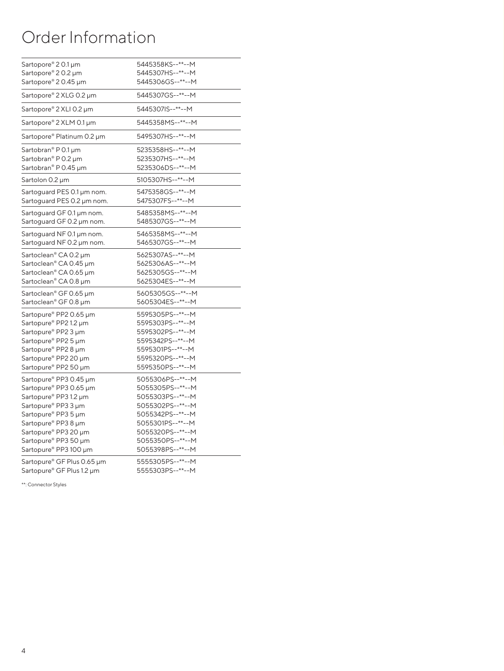# Order Information

| Sartopore® 20.1 µm                | 5445358KS--**--M |  |
|-----------------------------------|------------------|--|
| Sartopore® 20.2 µm                | 5445307HS--**--M |  |
| Sartopore® 20.45 µm               | 5445306GS--**--M |  |
| Sartopore® 2 XLG 0.2 µm           | 5445307GS--**--M |  |
| Sartopore® 2 XLI 0.2 µm           | 5445307IS--**--M |  |
| Sartopore® 2 XLM 0.1 µm           | 5445358MS--**--M |  |
| Sartopore® Platinum 0.2 µm        | 5495307HS--**--M |  |
| Sartobran® P 0.1 µm               | 5235358HS--**--M |  |
| Sartobran® P 0.2 µm               | 5235307HS--**--M |  |
| Sartobran® P 0.45 µm              | 5235306DS--**--M |  |
| Sartolon 0.2 µm                   | 5105307HS--**--M |  |
| Sartoguard PES 0.1 µm nom.        | 5475358GS--**--M |  |
| Sartoguard PES 0.2 µm nom.        | 5475307FS--**--M |  |
| Sartoguard GF 0.1 µm nom.         | 5485358MS--**--M |  |
| Sartoguard GF 0.2 µm nom.         | 5485307GS--**--M |  |
| Sartoguard NF 0.1 µm nom.         | 5465358MS--**--M |  |
| Sartoguard NF 0.2 µm nom.         | 5465307GS--**--M |  |
| Sartoclean <sup>®</sup> CA 0.2 µm | 5625307AS--**--M |  |
| Sartoclean® CA 0.45 µm            | 5625306AS--**--M |  |
| Sartoclean® CA 0.65 µm            | 5625305GS--**--M |  |
| Sartoclean® CA 0.8 µm             | 5625304ES--**--M |  |
| Sartoclean® GF 0.65 µm            | 5605305GS--**--M |  |
| Sartoclean® GF 0.8 µm             | 5605304ES--**--M |  |
| Sartopure® PP2 0.65 µm            | 5595305PS--**--M |  |
| Sartopure® PP2 1.2 µm             | 5595303PS--**--M |  |
| Sartopure® PP2 3 µm               | 5595302PS--**--M |  |
| Sartopure® PP2 5 µm               | 5595342PS--**--M |  |
| Sartopure® PP2 8 µm               | 5595301PS--**--M |  |
| Sartopure® PP2 20 µm              | 5595320PS--**--M |  |
| Sartopure® PP2 50 µm              | 5595350PS--**--M |  |
| Sartopure® PP3 0.45 µm            | 5055306PS--**--M |  |
| Sartopure® PP3 0.65 µm            | 5055305PS--**--M |  |
| Sartopure® PP3 1.2 µm             | 5055303PS--**--M |  |
| Sartopure® PP3 3 µm               | 5055302PS--**--M |  |
| Sartopure® PP3 5 µm               | 5055342PS--**--M |  |
| Sartopure® PP3 8 µm               | 5055301PS--**--M |  |
| Sartopure® PP3 20 µm              | 5055320PS--**--M |  |
| Sartopure® PP3 50 µm              | 5055350PS--**--M |  |
| Sartopure® PP3 100 µm             | 5055398PS--**--M |  |
| Sartopure® GF Plus 0.65 µm        | 5555305PS--**--M |  |
| Sartopure® GF Plus 1.2 µm         | 5555303PS--**--M |  |

\*\*: Connector Styles